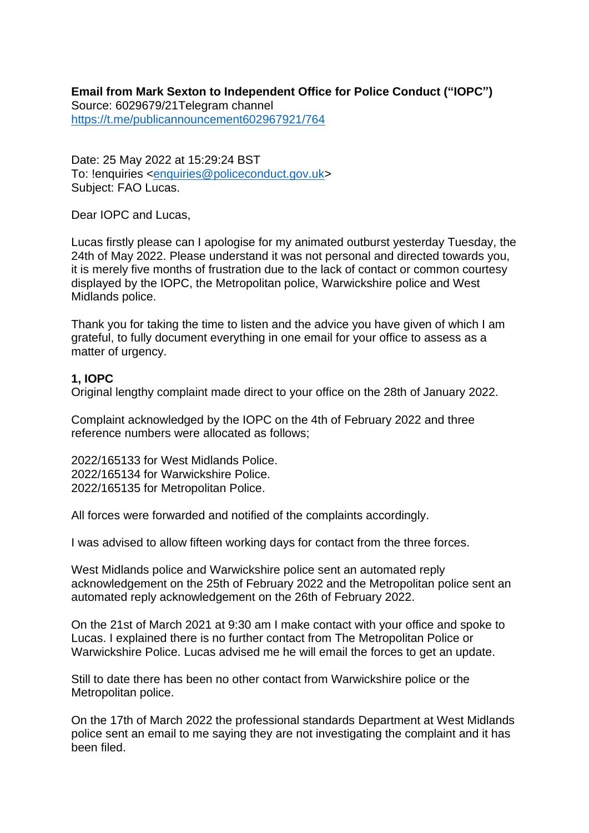**Email from Mark Sexton to Independent Office for Police Conduct ("IOPC")** Source: 6029679/21Telegram channel <https://t.me/publicannouncement602967921/764>

Date: 25 May 2022 at 15:29:24 BST To: !enquiries [<enquiries@policeconduct.gov.uk>](mailto:enquiries@policeconduct.gov.uk) Subject: FAO Lucas.

Dear IOPC and Lucas,

Lucas firstly please can I apologise for my animated outburst yesterday Tuesday, the 24th of May 2022. Please understand it was not personal and directed towards you, it is merely five months of frustration due to the lack of contact or common courtesy displayed by the IOPC, the Metropolitan police, Warwickshire police and West Midlands police.

Thank you for taking the time to listen and the advice you have given of which I am grateful, to fully document everything in one email for your office to assess as a matter of urgency.

# **1, IOPC**

Original lengthy complaint made direct to your office on the 28th of January 2022.

Complaint acknowledged by the IOPC on the 4th of February 2022 and three reference numbers were allocated as follows;

2022/165133 for West Midlands Police. 2022/165134 for Warwickshire Police. 2022/165135 for Metropolitan Police.

All forces were forwarded and notified of the complaints accordingly.

I was advised to allow fifteen working days for contact from the three forces.

West Midlands police and Warwickshire police sent an automated reply acknowledgement on the 25th of February 2022 and the Metropolitan police sent an automated reply acknowledgement on the 26th of February 2022.

On the 21st of March 2021 at 9:30 am I make contact with your office and spoke to Lucas. I explained there is no further contact from The Metropolitan Police or Warwickshire Police. Lucas advised me he will email the forces to get an update.

Still to date there has been no other contact from Warwickshire police or the Metropolitan police.

On the 17th of March 2022 the professional standards Department at West Midlands police sent an email to me saying they are not investigating the complaint and it has been filed.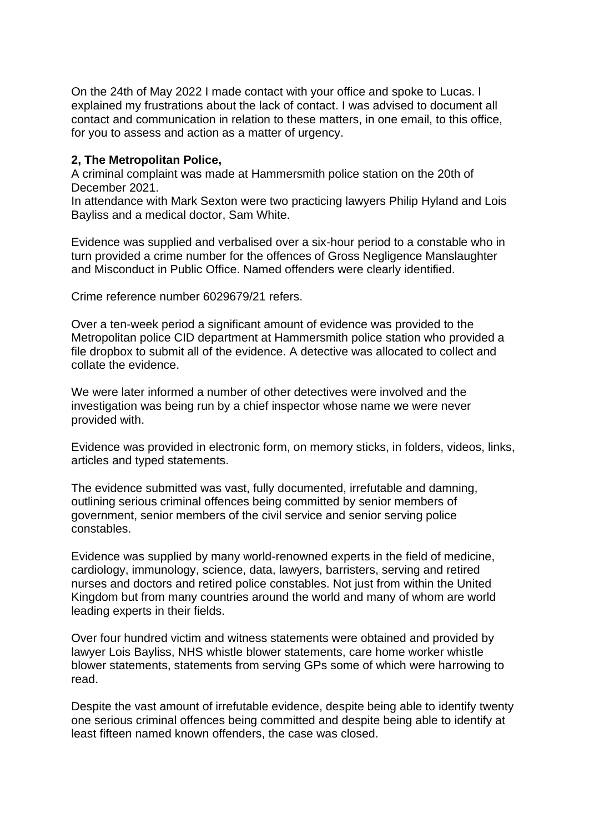On the 24th of May 2022 I made contact with your office and spoke to Lucas. I explained my frustrations about the lack of contact. I was advised to document all contact and communication in relation to these matters, in one email, to this office, for you to assess and action as a matter of urgency.

# **2, The Metropolitan Police,**

A criminal complaint was made at Hammersmith police station on the 20th of December 2021.

In attendance with Mark Sexton were two practicing lawyers Philip Hyland and Lois Bayliss and a medical doctor, Sam White.

Evidence was supplied and verbalised over a six-hour period to a constable who in turn provided a crime number for the offences of Gross Negligence Manslaughter and Misconduct in Public Office. Named offenders were clearly identified.

Crime reference number 6029679/21 refers.

Over a ten-week period a significant amount of evidence was provided to the Metropolitan police CID department at Hammersmith police station who provided a file dropbox to submit all of the evidence. A detective was allocated to collect and collate the evidence.

We were later informed a number of other detectives were involved and the investigation was being run by a chief inspector whose name we were never provided with.

Evidence was provided in electronic form, on memory sticks, in folders, videos, links, articles and typed statements.

The evidence submitted was vast, fully documented, irrefutable and damning, outlining serious criminal offences being committed by senior members of government, senior members of the civil service and senior serving police constables.

Evidence was supplied by many world-renowned experts in the field of medicine, cardiology, immunology, science, data, lawyers, barristers, serving and retired nurses and doctors and retired police constables. Not just from within the United Kingdom but from many countries around the world and many of whom are world leading experts in their fields.

Over four hundred victim and witness statements were obtained and provided by lawyer Lois Bayliss, NHS whistle blower statements, care home worker whistle blower statements, statements from serving GPs some of which were harrowing to read.

Despite the vast amount of irrefutable evidence, despite being able to identify twenty one serious criminal offences being committed and despite being able to identify at least fifteen named known offenders, the case was closed.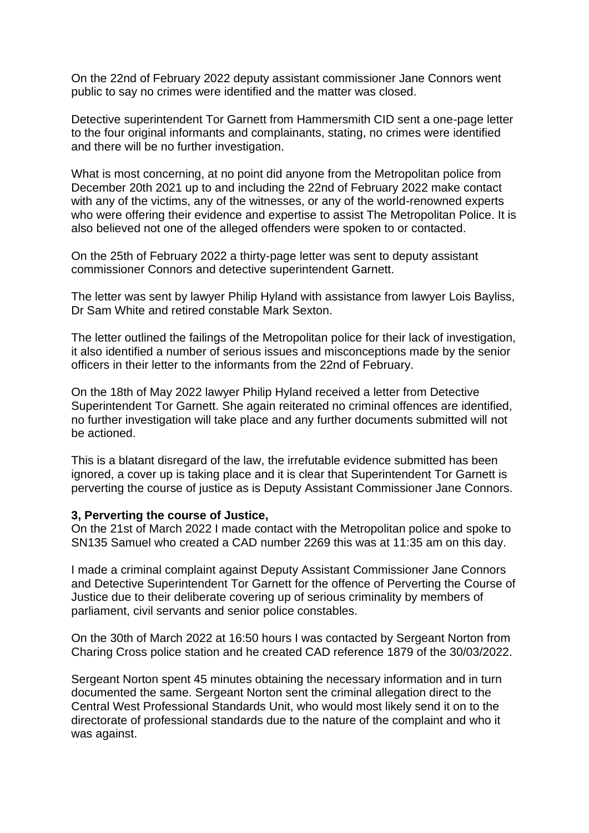On the 22nd of February 2022 deputy assistant commissioner Jane Connors went public to say no crimes were identified and the matter was closed.

Detective superintendent Tor Garnett from Hammersmith CID sent a one-page letter to the four original informants and complainants, stating, no crimes were identified and there will be no further investigation.

What is most concerning, at no point did anyone from the Metropolitan police from December 20th 2021 up to and including the 22nd of February 2022 make contact with any of the victims, any of the witnesses, or any of the world-renowned experts who were offering their evidence and expertise to assist The Metropolitan Police. It is also believed not one of the alleged offenders were spoken to or contacted.

On the 25th of February 2022 a thirty-page letter was sent to deputy assistant commissioner Connors and detective superintendent Garnett.

The letter was sent by lawyer Philip Hyland with assistance from lawyer Lois Bayliss, Dr Sam White and retired constable Mark Sexton.

The letter outlined the failings of the Metropolitan police for their lack of investigation, it also identified a number of serious issues and misconceptions made by the senior officers in their letter to the informants from the 22nd of February.

On the 18th of May 2022 lawyer Philip Hyland received a letter from Detective Superintendent Tor Garnett. She again reiterated no criminal offences are identified, no further investigation will take place and any further documents submitted will not be actioned.

This is a blatant disregard of the law, the irrefutable evidence submitted has been ignored, a cover up is taking place and it is clear that Superintendent Tor Garnett is perverting the course of justice as is Deputy Assistant Commissioner Jane Connors.

#### **3, Perverting the course of Justice,**

On the 21st of March 2022 I made contact with the Metropolitan police and spoke to SN135 Samuel who created a CAD number 2269 this was at 11:35 am on this day.

I made a criminal complaint against Deputy Assistant Commissioner Jane Connors and Detective Superintendent Tor Garnett for the offence of Perverting the Course of Justice due to their deliberate covering up of serious criminality by members of parliament, civil servants and senior police constables.

On the 30th of March 2022 at 16:50 hours I was contacted by Sergeant Norton from Charing Cross police station and he created CAD reference 1879 of the 30/03/2022.

Sergeant Norton spent 45 minutes obtaining the necessary information and in turn documented the same. Sergeant Norton sent the criminal allegation direct to the Central West Professional Standards Unit, who would most likely send it on to the directorate of professional standards due to the nature of the complaint and who it was against.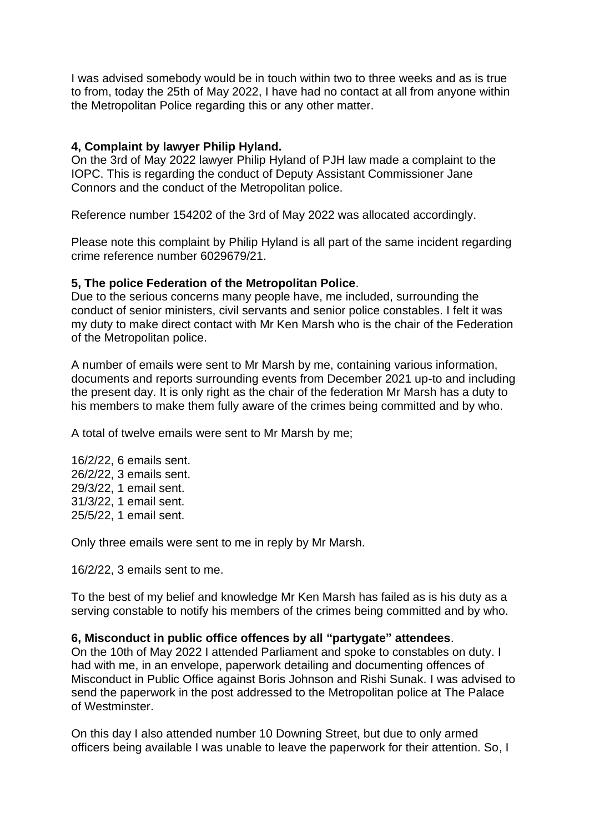I was advised somebody would be in touch within two to three weeks and as is true to from, today the 25th of May 2022, I have had no contact at all from anyone within the Metropolitan Police regarding this or any other matter.

## **4, Complaint by lawyer Philip Hyland.**

On the 3rd of May 2022 lawyer Philip Hyland of PJH law made a complaint to the IOPC. This is regarding the conduct of Deputy Assistant Commissioner Jane Connors and the conduct of the Metropolitan police.

Reference number 154202 of the 3rd of May 2022 was allocated accordingly.

Please note this complaint by Philip Hyland is all part of the same incident regarding crime reference number 6029679/21.

### **5, The police Federation of the Metropolitan Police**.

Due to the serious concerns many people have, me included, surrounding the conduct of senior ministers, civil servants and senior police constables. I felt it was my duty to make direct contact with Mr Ken Marsh who is the chair of the Federation of the Metropolitan police.

A number of emails were sent to Mr Marsh by me, containing various information, documents and reports surrounding events from December 2021 up-to and including the present day. It is only right as the chair of the federation Mr Marsh has a duty to his members to make them fully aware of the crimes being committed and by who.

A total of twelve emails were sent to Mr Marsh by me;

16/2/22, 6 emails sent. 26/2/22, 3 emails sent. 29/3/22, 1 email sent. 31/3/22, 1 email sent. 25/5/22, 1 email sent.

Only three emails were sent to me in reply by Mr Marsh.

16/2/22, 3 emails sent to me.

To the best of my belief and knowledge Mr Ken Marsh has failed as is his duty as a serving constable to notify his members of the crimes being committed and by who.

# **6, Misconduct in public office offences by all "partygate" attendees**.

On the 10th of May 2022 I attended Parliament and spoke to constables on duty. I had with me, in an envelope, paperwork detailing and documenting offences of Misconduct in Public Office against Boris Johnson and Rishi Sunak. I was advised to send the paperwork in the post addressed to the Metropolitan police at The Palace of Westminster.

On this day I also attended number 10 Downing Street, but due to only armed officers being available I was unable to leave the paperwork for their attention. So, I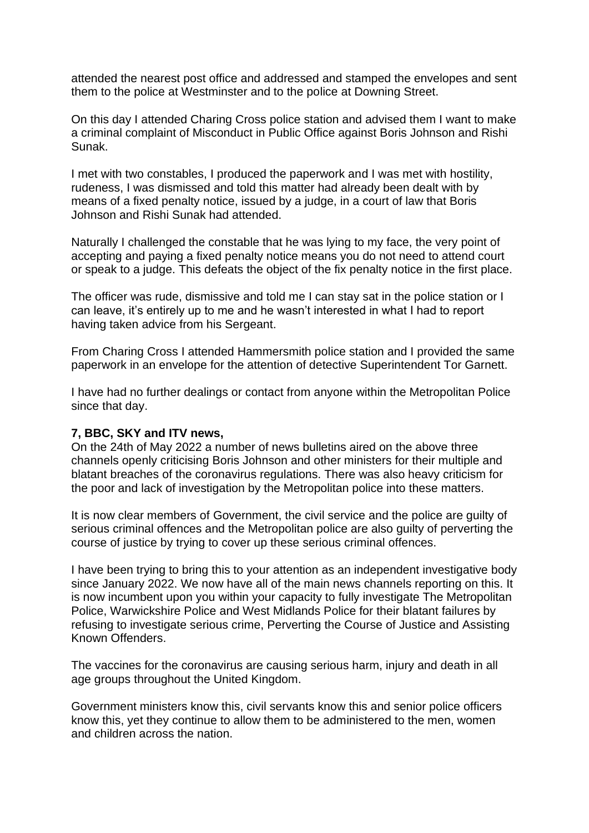attended the nearest post office and addressed and stamped the envelopes and sent them to the police at Westminster and to the police at Downing Street.

On this day I attended Charing Cross police station and advised them I want to make a criminal complaint of Misconduct in Public Office against Boris Johnson and Rishi Sunak.

I met with two constables, I produced the paperwork and I was met with hostility, rudeness, I was dismissed and told this matter had already been dealt with by means of a fixed penalty notice, issued by a judge, in a court of law that Boris Johnson and Rishi Sunak had attended.

Naturally I challenged the constable that he was lying to my face, the very point of accepting and paying a fixed penalty notice means you do not need to attend court or speak to a judge. This defeats the object of the fix penalty notice in the first place.

The officer was rude, dismissive and told me I can stay sat in the police station or I can leave, it's entirely up to me and he wasn't interested in what I had to report having taken advice from his Sergeant.

From Charing Cross I attended Hammersmith police station and I provided the same paperwork in an envelope for the attention of detective Superintendent Tor Garnett.

I have had no further dealings or contact from anyone within the Metropolitan Police since that day.

### **7, BBC, SKY and ITV news,**

On the 24th of May 2022 a number of news bulletins aired on the above three channels openly criticising Boris Johnson and other ministers for their multiple and blatant breaches of the coronavirus regulations. There was also heavy criticism for the poor and lack of investigation by the Metropolitan police into these matters.

It is now clear members of Government, the civil service and the police are guilty of serious criminal offences and the Metropolitan police are also guilty of perverting the course of justice by trying to cover up these serious criminal offences.

I have been trying to bring this to your attention as an independent investigative body since January 2022. We now have all of the main news channels reporting on this. It is now incumbent upon you within your capacity to fully investigate The Metropolitan Police, Warwickshire Police and West Midlands Police for their blatant failures by refusing to investigate serious crime, Perverting the Course of Justice and Assisting Known Offenders.

The vaccines for the coronavirus are causing serious harm, injury and death in all age groups throughout the United Kingdom.

Government ministers know this, civil servants know this and senior police officers know this, yet they continue to allow them to be administered to the men, women and children across the nation.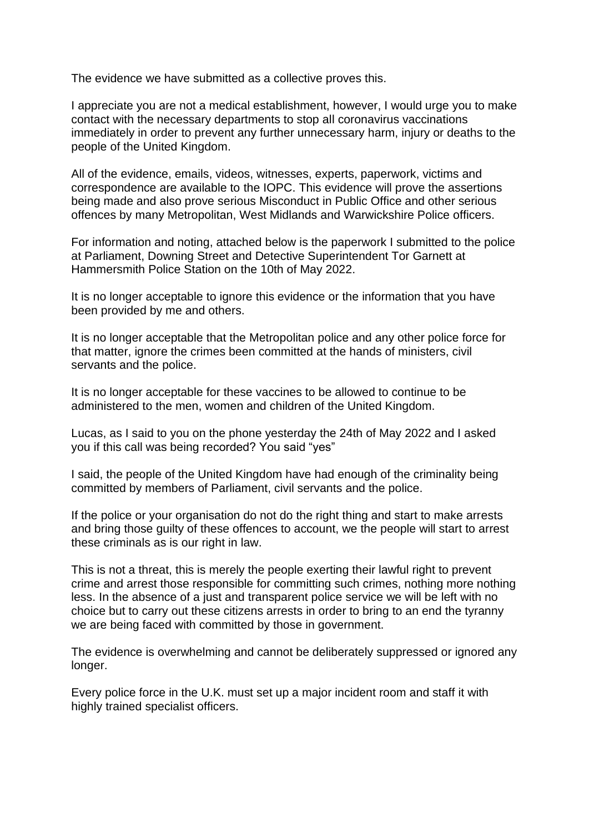The evidence we have submitted as a collective proves this.

I appreciate you are not a medical establishment, however, I would urge you to make contact with the necessary departments to stop all coronavirus vaccinations immediately in order to prevent any further unnecessary harm, injury or deaths to the people of the United Kingdom.

All of the evidence, emails, videos, witnesses, experts, paperwork, victims and correspondence are available to the IOPC. This evidence will prove the assertions being made and also prove serious Misconduct in Public Office and other serious offences by many Metropolitan, West Midlands and Warwickshire Police officers.

For information and noting, attached below is the paperwork I submitted to the police at Parliament, Downing Street and Detective Superintendent Tor Garnett at Hammersmith Police Station on the 10th of May 2022.

It is no longer acceptable to ignore this evidence or the information that you have been provided by me and others.

It is no longer acceptable that the Metropolitan police and any other police force for that matter, ignore the crimes been committed at the hands of ministers, civil servants and the police.

It is no longer acceptable for these vaccines to be allowed to continue to be administered to the men, women and children of the United Kingdom.

Lucas, as I said to you on the phone yesterday the 24th of May 2022 and I asked you if this call was being recorded? You said "yes"

I said, the people of the United Kingdom have had enough of the criminality being committed by members of Parliament, civil servants and the police.

If the police or your organisation do not do the right thing and start to make arrests and bring those guilty of these offences to account, we the people will start to arrest these criminals as is our right in law.

This is not a threat, this is merely the people exerting their lawful right to prevent crime and arrest those responsible for committing such crimes, nothing more nothing less. In the absence of a just and transparent police service we will be left with no choice but to carry out these citizens arrests in order to bring to an end the tyranny we are being faced with committed by those in government.

The evidence is overwhelming and cannot be deliberately suppressed or ignored any longer.

Every police force in the U.K. must set up a major incident room and staff it with highly trained specialist officers.